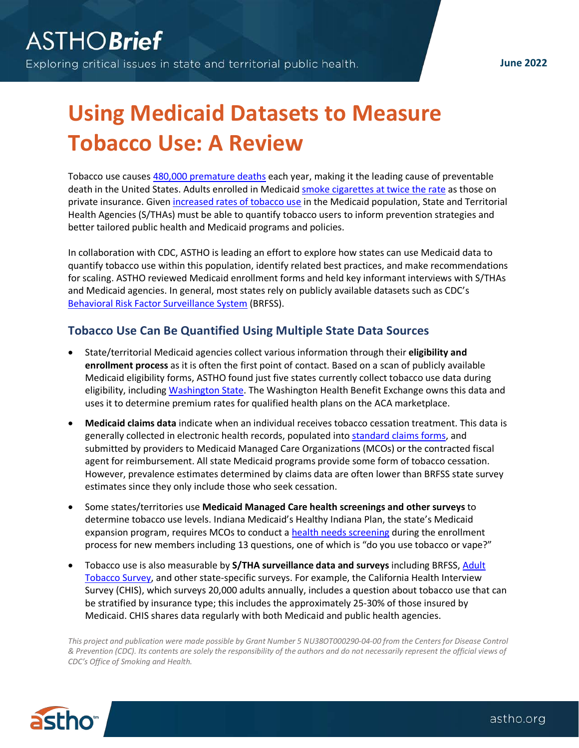**June 2022**

# **Using Medicaid Datasets to Measure Tobacco Use: A Review**

Tobacco use causes [480,000 premature deaths](https://www.hhs.gov/sites/default/files/consequences-smoking-exec-summary.pdf) each year, making it the leading cause of preventable death in the United States. Adults enrolled in Medicai[d smoke cigarettes at twice the rate](https://www.cdc.gov/statesystem/factsheets/medicaid/Cessation.html) as those on private insurance. Given [increased rates of tobacco use](https://www.cdc.gov/mmwr/volumes/68/wr/pdfs/mm6845a2-H.pdf) in the Medicaid population, State and Territorial Health Agencies (S/THAs) must be able to quantify tobacco users to inform prevention strategies and better tailored public health and Medicaid programs and policies.

In collaboration with CDC, ASTHO is leading an effort to explore how states can use Medicaid data to quantify tobacco use within this population, identify related best practices, and make recommendations for scaling. ASTHO reviewed Medicaid enrollment forms and held key informant interviews with S/THAs and Medicaid agencies. In general, most states rely on publicly available datasets such as CDC's [Behavioral Risk Factor Surveillance System](https://www.cdc.gov/brfss/index.html) (BRFSS).

#### **Tobacco Use Can Be Quantified Using Multiple State Data Sources**

- State/territorial Medicaid agencies collect various information through their **eligibility and enrollment process** as it is often the first point of contact. Based on a scan of publicly available Medicaid eligibility forms, ASTHO found just five states currently collect tobacco use data during eligibility, including [Washington State.](https://www.hca.wa.gov/assets/free-or-low-cost/18-001P.pdf) The Washington Health Benefit Exchange owns this data and uses it to determine premium rates for qualified health plans on the ACA marketplace.
- **Medicaid claims data** indicate when an individual receives tobacco cessation treatment. This data is generally collected in electronic health records, populated into [standard claims forms,](https://www.cms.gov/Medicare/CMS-Forms/CMS-Forms/Downloads/CMS1500.pdf) and submitted by providers to Medicaid Managed Care Organizations (MCOs) or the contracted fiscal agent for reimbursement. All state Medicaid programs provide some form of tobacco cessation. However, prevalence estimates determined by claims data are often lower than BRFSS state survey estimates since they only include those who seek cessation.
- Some states/territories use **Medicaid Managed Care health screenings and other surveys** to determine tobacco use levels. Indiana Medicaid's Healthy Indiana Plan, the state's Medicaid expansion program, requires MCOs to conduct a [health needs screening](https://www.in.gov/fssa/hip/files/IN_HIP_Interim_Evaluation_Report_Final.pdf) during the enrollment process for new members including 13 questions, one of which is "do you use tobacco or vape?"
- Tobacco use is also measurable by **S/THA surveillance data and surveys** including BRFSS, [Adult](https://www.cdc.gov/tobacco/data_statistics/surveys/nats/index.htm)  [Tobacco Survey,](https://www.cdc.gov/tobacco/data_statistics/surveys/nats/index.htm) and other state-specific surveys. For example, the California Health Interview Survey (CHIS), which surveys 20,000 adults annually, includes a question about tobacco use that can be stratified by insurance type; this includes the approximately 25-30% of those insured by Medicaid. CHIS shares data regularly with both Medicaid and public health agencies.

*This project and publication were made possible by Grant Number 5 NU38OT000290-04-00 from the Centers for Disease Control & Prevention (CDC). Its contents are solely the responsibility of the authors and do not necessarily represent the official views of CDC's Office of Smoking and Health.*